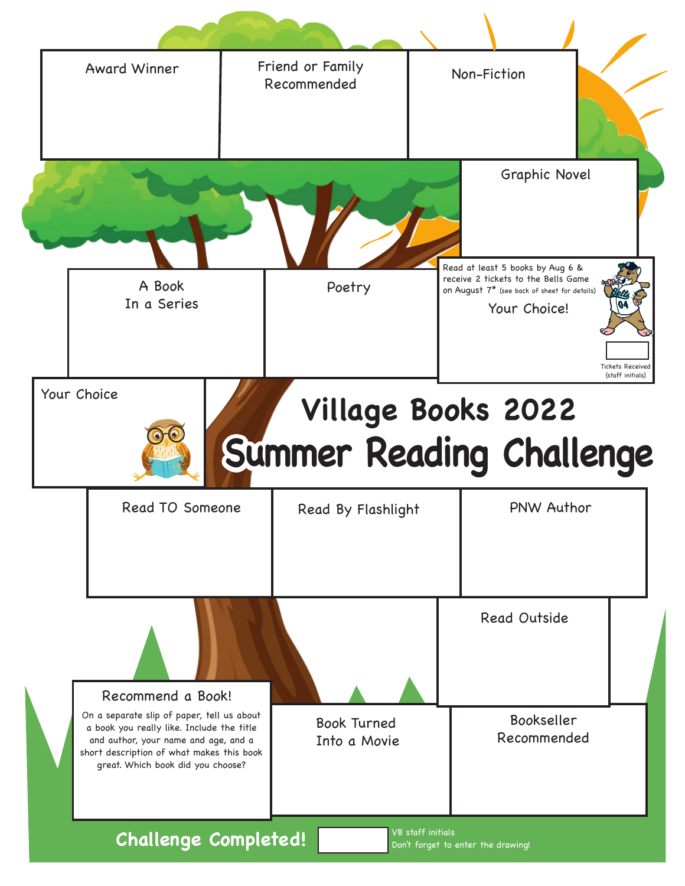